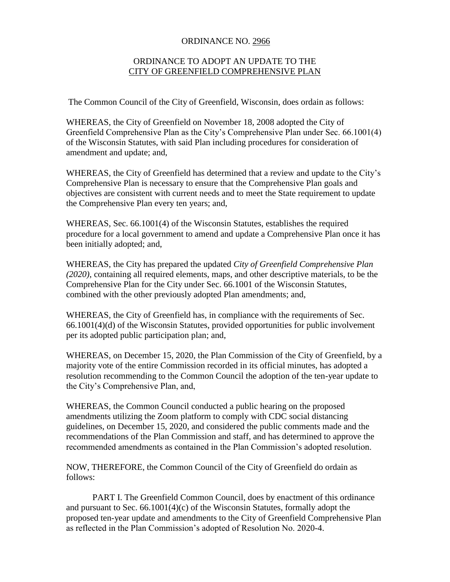## ORDINANCE NO. 2966

## ORDINANCE TO ADOPT AN UPDATE TO THE CITY OF GREENFIELD COMPREHENSIVE PLAN

The Common Council of the City of Greenfield, Wisconsin, does ordain as follows:

WHEREAS, the City of Greenfield on November 18, 2008 adopted the City of Greenfield Comprehensive Plan as the City's Comprehensive Plan under Sec. 66.1001(4) of the Wisconsin Statutes, with said Plan including procedures for consideration of amendment and update; and,

WHEREAS, the City of Greenfield has determined that a review and update to the City's Comprehensive Plan is necessary to ensure that the Comprehensive Plan goals and objectives are consistent with current needs and to meet the State requirement to update the Comprehensive Plan every ten years; and,

WHEREAS, Sec. 66.1001(4) of the Wisconsin Statutes, establishes the required procedure for a local government to amend and update a Comprehensive Plan once it has been initially adopted; and,

WHEREAS, the City has prepared the updated *City of Greenfield Comprehensive Plan (2020)*, containing all required elements, maps, and other descriptive materials, to be the Comprehensive Plan for the City under Sec. 66.1001 of the Wisconsin Statutes, combined with the other previously adopted Plan amendments; and,

WHEREAS, the City of Greenfield has, in compliance with the requirements of Sec. 66.1001(4)(d) of the Wisconsin Statutes, provided opportunities for public involvement per its adopted public participation plan; and,

WHEREAS, on December 15, 2020, the Plan Commission of the City of Greenfield, by a majority vote of the entire Commission recorded in its official minutes, has adopted a resolution recommending to the Common Council the adoption of the ten-year update to the City's Comprehensive Plan, and,

WHEREAS, the Common Council conducted a public hearing on the proposed amendments utilizing the Zoom platform to comply with CDC social distancing guidelines, on December 15, 2020, and considered the public comments made and the recommendations of the Plan Commission and staff, and has determined to approve the recommended amendments as contained in the Plan Commission's adopted resolution.

NOW, THEREFORE, the Common Council of the City of Greenfield do ordain as follows:

PART I. The Greenfield Common Council, does by enactment of this ordinance and pursuant to Sec. 66.1001(4)(c) of the Wisconsin Statutes, formally adopt the proposed ten-year update and amendments to the City of Greenfield Comprehensive Plan as reflected in the Plan Commission's adopted of Resolution No. 2020-4.